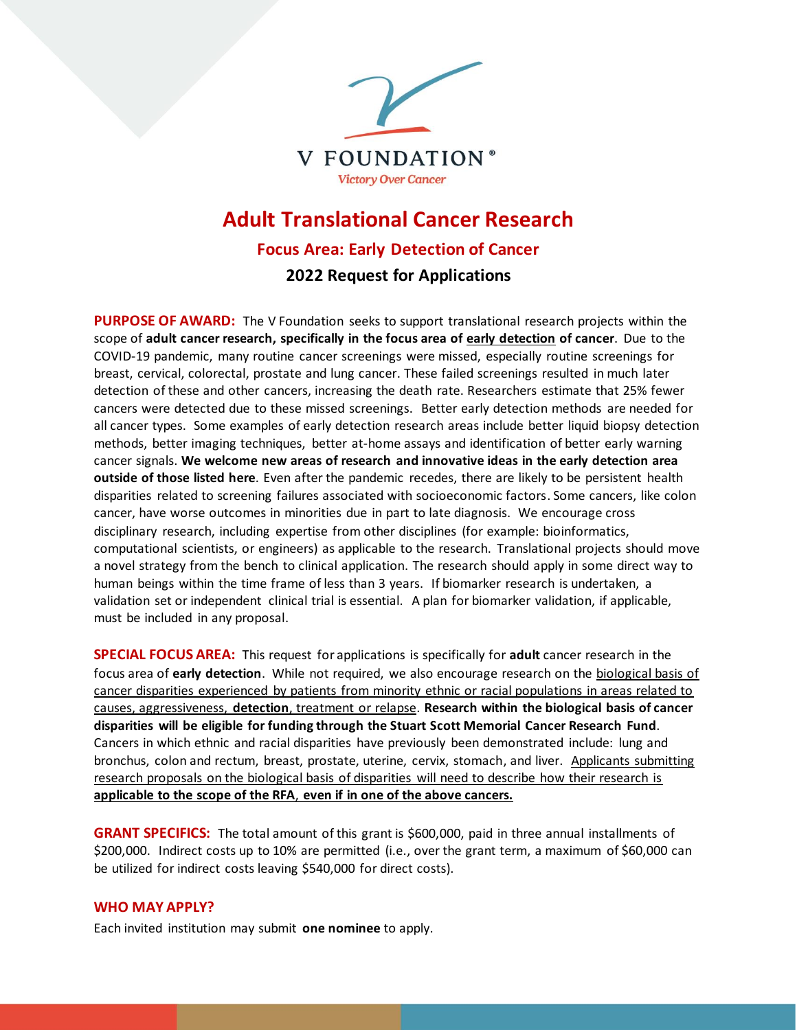

# **Adult Translational Cancer Research Focus Area: Early Detection of Cancer 2022 Request for Applications**

**PURPOSE OF AWARD:** The V Foundation seeks to support translational research projects within the scope of **adult cancer research, specifically in the focus area of early detection of cancer**. Due to the COVID-19 pandemic, many routine cancer screenings were missed, especially routine screenings for breast, cervical, colorectal, prostate and lung cancer. These failed screenings resulted in much later detection of these and other cancers, increasing the death rate. Researchers estimate that 25% fewer cancers were detected due to these missed screenings. Better early detection methods are needed for all cancer types. Some examples of early detection research areas include better liquid biopsy detection methods, better imaging techniques, better at-home assays and identification of better early warning cancer signals. **We welcome new areas of research and innovative ideas in the early detection area outside of those listed here**. Even after the pandemic recedes, there are likely to be persistent health disparities related to screening failures associated with socioeconomic factors. Some cancers, like colon cancer, have worse outcomes in minorities due in part to late diagnosis. We encourage cross disciplinary research, including expertise from other disciplines (for example: bioinformatics, computational scientists, or engineers) as applicable to the research. Translational projects should move a novel strategy from the bench to clinical application. The research should apply in some direct way to human beings within the time frame of less than 3 years. If biomarker research is undertaken, a validation set or independent clinical trial is essential. A plan for biomarker validation, if applicable, must be included in any proposal.

**SPECIAL FOCUS AREA:** This request for applications is specifically for **adult** cancer research in the focus area of **early detection**. While not required, we also encourage research on the biological basis of cancer disparities experienced by patients from minority ethnic or racial populations in areas related to causes, aggressiveness, **detection**, treatment or relapse. **Research within the biological basis of cancer disparities will be eligible for funding through the Stuart Scott Memorial Cancer Research Fund**. Cancers in which ethnic and racial disparities have previously been demonstrated include: lung and bronchus, colon and rectum, breast, prostate, uterine, cervix, stomach, and liver. Applicants submitting research proposals on the biological basis of disparities will need to describe how their research is **applicable to the scope of the RFA**, **even if in one of the above cancers.** 

**GRANT SPECIFICS:** The total amount of this grant is \$600,000, paid in three annual installments of \$200,000. Indirect costs up to 10% are permitted (i.e., over the grant term, a maximum of \$60,000 can be utilized for indirect costs leaving \$540,000 for direct costs).

## **WHO MAY APPLY?**

Each invited institution may submit **one nominee** to apply.